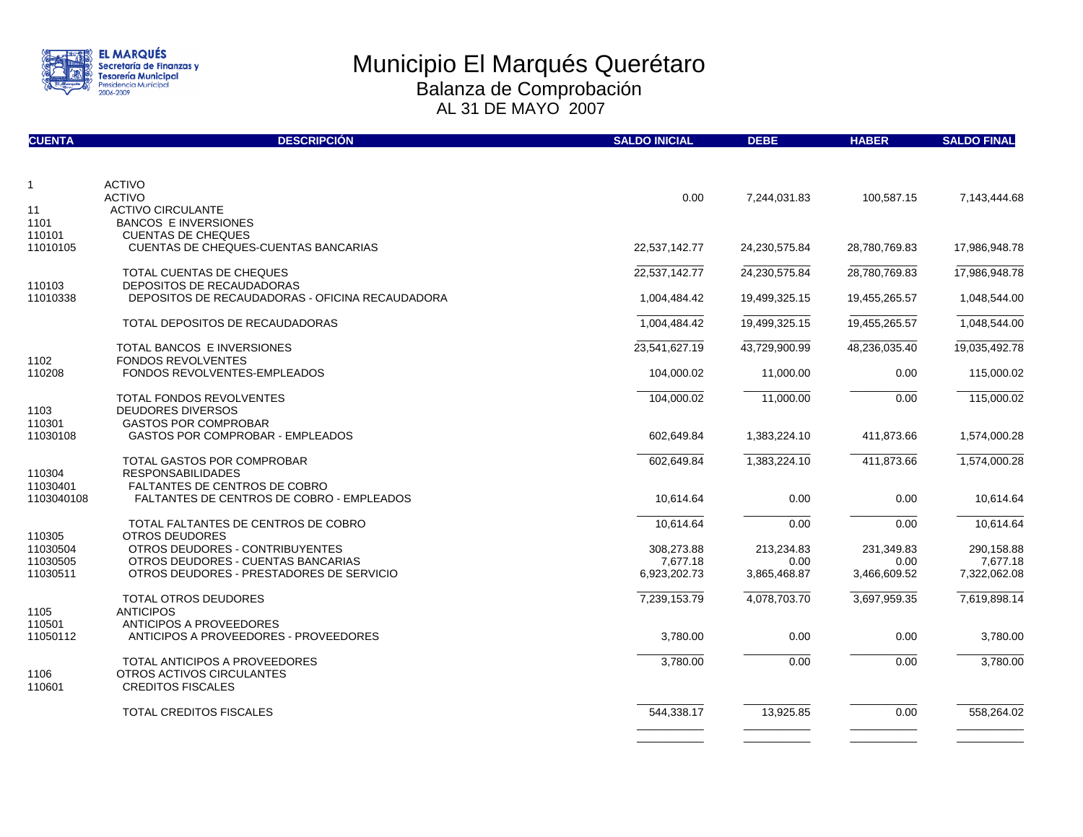

| <b>CUENTA</b>        | <b>DESCRIPCIÓN</b>                                                    | <b>SALDO INICIAL</b>   | <b>DEBE</b>        | <b>HABER</b>       | <b>SALDO FINAL</b>     |
|----------------------|-----------------------------------------------------------------------|------------------------|--------------------|--------------------|------------------------|
|                      |                                                                       |                        |                    |                    |                        |
| $\mathbf{1}$         | <b>ACTIVO</b>                                                         |                        |                    |                    |                        |
|                      | <b>ACTIVO</b>                                                         | 0.00                   | 7,244,031.83       | 100,587.15         | 7,143,444.68           |
| 11                   | <b>ACTIVO CIRCULANTE</b>                                              |                        |                    |                    |                        |
| 1101<br>110101       | <b>BANCOS E INVERSIONES</b><br><b>CUENTAS DE CHEQUES</b>              |                        |                    |                    |                        |
| 11010105             | <b>CUENTAS DE CHEQUES-CUENTAS BANCARIAS</b>                           | 22,537,142.77          | 24,230,575.84      | 28,780,769.83      | 17,986,948.78          |
|                      |                                                                       |                        |                    |                    |                        |
|                      | TOTAL CUENTAS DE CHEQUES                                              | 22,537,142.77          | 24,230,575.84      | 28,780,769.83      | 17,986,948.78          |
| 110103               | DEPOSITOS DE RECAUDADORAS                                             |                        |                    |                    |                        |
| 11010338             | DEPOSITOS DE RECAUDADORAS - OFICINA RECAUDADORA                       | 1,004,484.42           | 19,499,325.15      | 19,455,265.57      | 1,048,544.00           |
|                      |                                                                       |                        |                    |                    |                        |
|                      | TOTAL DEPOSITOS DE RECAUDADORAS                                       | 1,004,484.42           | 19,499,325.15      | 19,455,265.57      | 1,048,544.00           |
|                      | TOTAL BANCOS E INVERSIONES                                            | 23,541,627.19          | 43,729,900.99      | 48,236,035.40      | 19,035,492.78          |
| 1102                 | <b>FONDOS REVOLVENTES</b>                                             |                        |                    |                    |                        |
| 110208               | <b>FONDOS REVOLVENTES-EMPLEADOS</b>                                   | 104,000.02             | 11,000.00          | 0.00               | 115,000.02             |
|                      |                                                                       |                        |                    |                    |                        |
|                      | TOTAL FONDOS REVOLVENTES                                              | 104,000.02             | 11,000.00          | 0.00               | 115,000.02             |
| 1103                 | DEUDORES DIVERSOS                                                     |                        |                    |                    |                        |
| 110301               | <b>GASTOS POR COMPROBAR</b>                                           |                        |                    |                    |                        |
| 11030108             | <b>GASTOS POR COMPROBAR - EMPLEADOS</b>                               | 602,649.84             | 1,383,224.10       | 411,873.66         | 1,574,000.28           |
|                      | TOTAL GASTOS POR COMPROBAR                                            | 602,649.84             | 1,383,224.10       | 411,873.66         | 1,574,000.28           |
| 110304               | <b>RESPONSABILIDADES</b>                                              |                        |                    |                    |                        |
| 11030401             | <b>FALTANTES DE CENTROS DE COBRO</b>                                  |                        |                    |                    |                        |
| 1103040108           | <b>FALTANTES DE CENTROS DE COBRO - EMPLEADOS</b>                      | 10,614.64              | 0.00               | 0.00               | 10,614.64              |
|                      |                                                                       |                        |                    |                    |                        |
|                      | TOTAL FALTANTES DE CENTROS DE COBRO                                   | 10,614.64              | 0.00               | 0.00               | 10,614.64              |
| 110305               | OTROS DEUDORES                                                        |                        |                    |                    |                        |
| 11030504<br>11030505 | OTROS DEUDORES - CONTRIBUYENTES<br>OTROS DEUDORES - CUENTAS BANCARIAS | 308,273.88<br>7,677.18 | 213,234.83<br>0.00 | 231,349.83<br>0.00 | 290,158.88<br>7,677.18 |
| 11030511             | OTROS DEUDORES - PRESTADORES DE SERVICIO                              | 6,923,202.73           | 3,865,468.87       | 3,466,609.52       | 7,322,062.08           |
|                      |                                                                       |                        |                    |                    |                        |
|                      | <b>TOTAL OTROS DEUDORES</b>                                           | 7,239,153.79           | 4,078,703.70       | 3,697,959.35       | 7,619,898.14           |
| 1105                 | <b>ANTICIPOS</b>                                                      |                        |                    |                    |                        |
| 110501               | ANTICIPOS A PROVEEDORES                                               |                        |                    |                    |                        |
| 11050112             | ANTICIPOS A PROVEEDORES - PROVEEDORES                                 | 3,780.00               | 0.00               | 0.00               | 3,780.00               |
|                      | TOTAL ANTICIPOS A PROVEEDORES                                         | 3,780.00               | 0.00               | 0.00               | 3,780.00               |
| 1106                 | OTROS ACTIVOS CIRCULANTES                                             |                        |                    |                    |                        |
| 110601               | <b>CREDITOS FISCALES</b>                                              |                        |                    |                    |                        |
|                      |                                                                       |                        |                    |                    |                        |
|                      | <b>TOTAL CREDITOS FISCALES</b>                                        | 544,338.17             | 13,925.85          | 0.00               | 558,264.02             |
|                      |                                                                       |                        |                    |                    |                        |
|                      |                                                                       |                        |                    |                    |                        |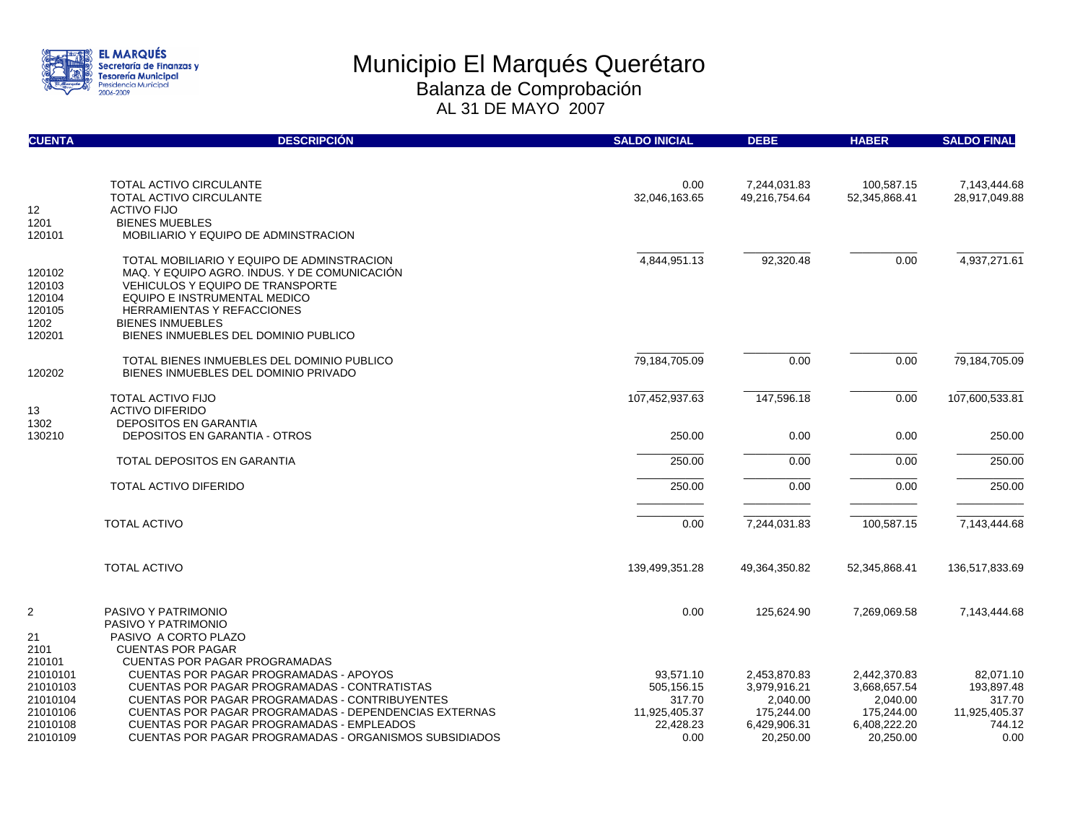

| <b>CUENTA</b>  | <b>DESCRIPCIÓN</b>                                              | <b>SALDO INICIAL</b>  | <b>DEBE</b>                   | <b>HABER</b>                | <b>SALDO FINAL</b>            |
|----------------|-----------------------------------------------------------------|-----------------------|-------------------------------|-----------------------------|-------------------------------|
|                |                                                                 |                       |                               |                             |                               |
|                | <b>TOTAL ACTIVO CIRCULANTE</b><br>TOTAL ACTIVO CIRCULANTE       | 0.00<br>32,046,163.65 | 7,244,031.83<br>49,216,754.64 | 100,587.15<br>52,345,868.41 | 7,143,444.68<br>28,917,049.88 |
| 12             | <b>ACTIVO FIJO</b>                                              |                       |                               |                             |                               |
| 1201           | <b>BIENES MUEBLES</b>                                           |                       |                               |                             |                               |
| 120101         | MOBILIARIO Y EQUIPO DE ADMINSTRACION                            |                       |                               |                             |                               |
|                | TOTAL MOBILIARIO Y EQUIPO DE ADMINSTRACION                      | 4,844,951.13          | 92,320.48                     | 0.00                        | 4,937,271.61                  |
| 120102         | MAQ. Y EQUIPO AGRO. INDUS. Y DE COMUNICACIÓN                    |                       |                               |                             |                               |
| 120103         | <b>VEHICULOS Y EQUIPO DE TRANSPORTE</b>                         |                       |                               |                             |                               |
| 120104         | EQUIPO E INSTRUMENTAL MEDICO                                    |                       |                               |                             |                               |
| 120105         | <b>HERRAMIENTAS Y REFACCIONES</b>                               |                       |                               |                             |                               |
| 1202<br>120201 | <b>BIENES INMUEBLES</b><br>BIENES INMUEBLES DEL DOMINIO PUBLICO |                       |                               |                             |                               |
|                |                                                                 |                       |                               |                             |                               |
|                | TOTAL BIENES INMUEBLES DEL DOMINIO PUBLICO                      | 79,184,705.09         | 0.00                          | 0.00                        | 79,184,705.09                 |
| 120202         | BIENES INMUEBLES DEL DOMINIO PRIVADO                            |                       |                               |                             |                               |
|                | <b>TOTAL ACTIVO FIJO</b>                                        | 107,452,937.63        | 147,596.18                    | 0.00                        | 107,600,533.81                |
| 13             | <b>ACTIVO DIFERIDO</b>                                          |                       |                               |                             |                               |
| 1302           | <b>DEPOSITOS EN GARANTIA</b>                                    |                       |                               |                             |                               |
| 130210         | <b>DEPOSITOS EN GARANTIA - OTROS</b>                            | 250.00                | 0.00                          | 0.00                        | 250.00                        |
|                | <b>TOTAL DEPOSITOS EN GARANTIA</b>                              | 250.00                | 0.00                          | 0.00                        | 250.00                        |
|                | TOTAL ACTIVO DIFERIDO                                           | 250.00                | 0.00                          | 0.00                        | 250.00                        |
|                |                                                                 |                       |                               |                             |                               |
|                | <b>TOTAL ACTIVO</b>                                             | 0.00                  | 7,244,031.83                  | 100,587.15                  | 7,143,444.68                  |
|                | <b>TOTAL ACTIVO</b>                                             | 139,499,351.28        | 49,364,350.82                 | 52,345,868.41               | 136,517,833.69                |
|                |                                                                 |                       |                               |                             |                               |
| $\overline{2}$ | PASIVO Y PATRIMONIO<br>PASIVO Y PATRIMONIO                      | 0.00                  | 125,624.90                    | 7,269,069.58                | 7,143,444.68                  |
| 21             | PASIVO A CORTO PLAZO                                            |                       |                               |                             |                               |
| 2101           | <b>CUENTAS POR PAGAR</b>                                        |                       |                               |                             |                               |
| 210101         | <b>CUENTAS POR PAGAR PROGRAMADAS</b>                            |                       |                               |                             |                               |
| 21010101       | CUENTAS POR PAGAR PROGRAMADAS - APOYOS                          | 93,571.10             | 2,453,870.83                  | 2,442,370.83                | 82,071.10                     |
| 21010103       | CUENTAS POR PAGAR PROGRAMADAS - CONTRATISTAS                    | 505,156.15            | 3,979,916.21                  | 3,668,657.54                | 193,897.48                    |
| 21010104       | CUENTAS POR PAGAR PROGRAMADAS - CONTRIBUYENTES                  | 317.70                | 2,040.00                      | 2,040.00                    | 317.70                        |
| 21010106       | CUENTAS POR PAGAR PROGRAMADAS - DEPENDENCIAS EXTERNAS           | 11,925,405.37         | 175,244.00                    | 175,244.00                  | 11,925,405.37                 |
| 21010108       | <b>CUENTAS POR PAGAR PROGRAMADAS - EMPLEADOS</b>                | 22,428.23             | 6,429,906.31                  | 6,408,222.20                | 744.12                        |
| 21010109       | <b>CUENTAS POR PAGAR PROGRAMADAS - ORGANISMOS SUBSIDIADOS</b>   | 0.00                  | 20,250.00                     | 20,250.00                   | 0.00                          |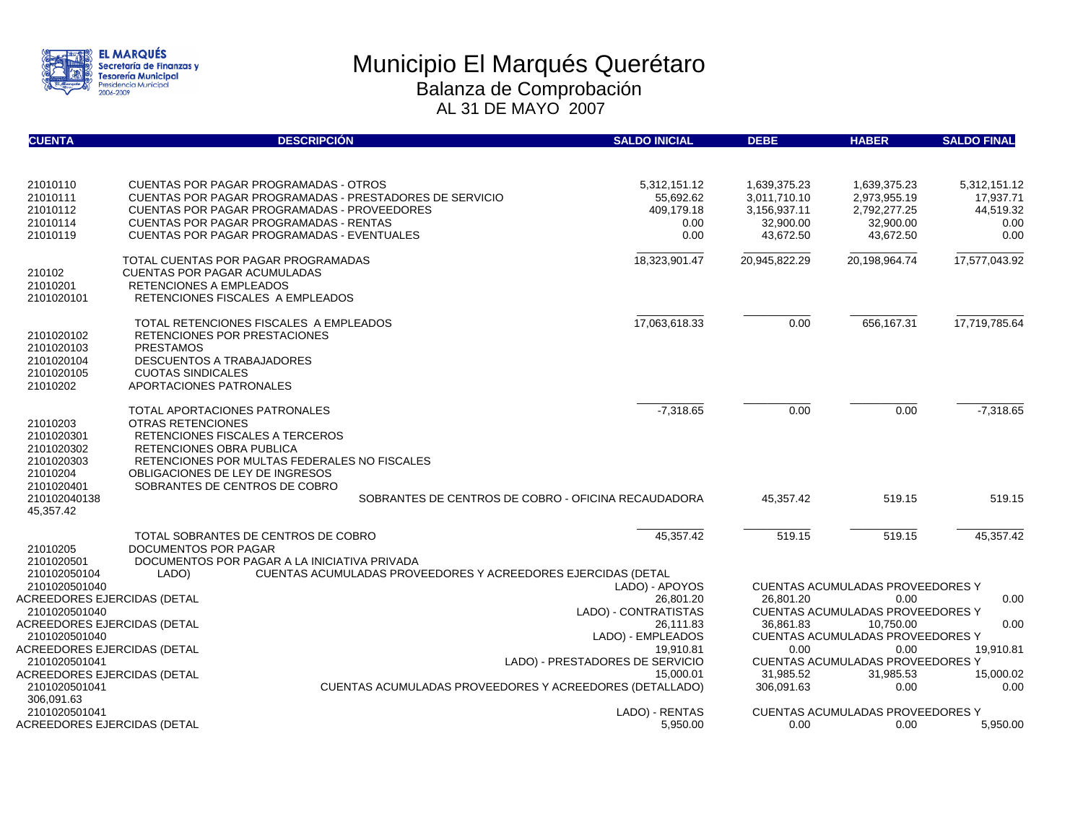

| <b>CUENTA</b>                                                                                             |                                                                         | <b>DESCRIPCIÓN</b>                                                                                                                                                                                                                                           | <b>SALDO INICIAL</b>                                    | <b>DEBE</b>                                                            | <b>HABER</b>                                                                               | <b>SALDO FINAL</b>                                     |
|-----------------------------------------------------------------------------------------------------------|-------------------------------------------------------------------------|--------------------------------------------------------------------------------------------------------------------------------------------------------------------------------------------------------------------------------------------------------------|---------------------------------------------------------|------------------------------------------------------------------------|--------------------------------------------------------------------------------------------|--------------------------------------------------------|
|                                                                                                           |                                                                         |                                                                                                                                                                                                                                                              |                                                         |                                                                        |                                                                                            |                                                        |
| 21010110<br>21010111<br>21010112<br>21010114<br>21010119                                                  |                                                                         | <b>CUENTAS POR PAGAR PROGRAMADAS - OTROS</b><br>CUENTAS POR PAGAR PROGRAMADAS - PRESTADORES DE SERVICIO<br><b>CUENTAS POR PAGAR PROGRAMADAS - PROVEEDORES</b><br><b>CUENTAS POR PAGAR PROGRAMADAS - RENTAS</b><br>CUENTAS POR PAGAR PROGRAMADAS - EVENTUALES | 5,312,151.12<br>55.692.62<br>409,179.18<br>0.00<br>0.00 | 1,639,375.23<br>3,011,710.10<br>3,156,937.11<br>32,900.00<br>43,672.50 | 1,639,375.23<br>2,973,955.19<br>2,792,277.25<br>32,900.00<br>43,672.50                     | 5,312,151.12<br>17,937.71<br>44,519.32<br>0.00<br>0.00 |
| 210102<br>21010201<br>2101020101                                                                          | <b>RETENCIONES A EMPLEADOS</b>                                          | TOTAL CUENTAS POR PAGAR PROGRAMADAS<br><b>CUENTAS POR PAGAR ACUMULADAS</b><br>RETENCIONES FISCALES A EMPLEADOS                                                                                                                                               | 18,323,901.47                                           | 20,945,822.29                                                          | 20,198,964.74                                                                              | 17,577,043.92                                          |
| 2101020102<br>2101020103<br>2101020104<br>2101020105<br>21010202                                          | <b>PRESTAMOS</b><br><b>CUOTAS SINDICALES</b><br>APORTACIONES PATRONALES | TOTAL RETENCIONES FISCALES A EMPLEADOS<br>RETENCIONES POR PRESTACIONES<br>DESCUENTOS A TRABAJADORES                                                                                                                                                          | 17,063,618.33                                           | 0.00                                                                   | 656,167.31                                                                                 | 17,719,785.64                                          |
| 21010203<br>2101020301<br>2101020302<br>2101020303<br>21010204<br>2101020401<br>210102040138<br>45,357.42 | OTRAS RETENCIONES<br>RETENCIONES OBRA PUBLICA                           | TOTAL APORTACIONES PATRONALES<br>RETENCIONES FISCALES A TERCEROS<br>RETENCIONES POR MULTAS FEDERALES NO FISCALES<br>OBLIGACIONES DE LEY DE INGRESOS<br>SOBRANTES DE CENTROS DE COBRO<br>SOBRANTES DE CENTROS DE COBRO - OFICINA RECAUDADORA                  | $-7,318.65$                                             | 0.00<br>45.357.42                                                      | 0.00<br>519.15                                                                             | $-7,318.65$<br>519.15                                  |
| 21010205<br>2101020501                                                                                    | DOCUMENTOS POR PAGAR                                                    | TOTAL SOBRANTES DE CENTROS DE COBRO<br>DOCUMENTOS POR PAGAR A LA INICIATIVA PRIVADA                                                                                                                                                                          | 45.357.42                                               | 519.15                                                                 | 519.15                                                                                     | 45.357.42                                              |
| 210102050104                                                                                              | LADO)                                                                   | CUENTAS ACUMULADAS PROVEEDORES Y ACREEDORES EJERCIDAS (DETAL                                                                                                                                                                                                 |                                                         |                                                                        |                                                                                            |                                                        |
| 2101020501040<br>ACREEDORES EJERCIDAS (DETAL<br>2101020501040                                             |                                                                         |                                                                                                                                                                                                                                                              | LADO) - APOYOS<br>26,801.20<br>LADO) - CONTRATISTAS     | 26,801.20                                                              | <b>CUENTAS ACUMULADAS PROVEEDORES Y</b><br>0.00<br><b>CUENTAS ACUMULADAS PROVEEDORES Y</b> | 0.00                                                   |
| ACREEDORES EJERCIDAS (DETAL                                                                               |                                                                         |                                                                                                                                                                                                                                                              | 26.111.83                                               |                                                                        | 10.750.00                                                                                  | 0.00                                                   |
| 2101020501040                                                                                             |                                                                         |                                                                                                                                                                                                                                                              | LADO) - EMPLEADOS                                       |                                                                        | CUENTAS ACUMULADAS PROVEEDORES Y                                                           |                                                        |
| ACREEDORES EJERCIDAS (DETAL                                                                               |                                                                         |                                                                                                                                                                                                                                                              | 19.910.81<br>LADO) - PRESTADORES DE SERVICIO            | 0.00                                                                   | 0.00                                                                                       | 19,910.81                                              |
| 2101020501041<br>ACREEDORES EJERCIDAS (DETAL                                                              |                                                                         |                                                                                                                                                                                                                                                              | 31.985.52                                               | <b>CUENTAS ACUMULADAS PROVEEDORES Y</b><br>31,985.53                   | 15,000.02                                                                                  |                                                        |
| 2101020501041<br>306,091.63                                                                               |                                                                         | <b>CUENTAS ACUMULADAS PROVEEDORES Y ACREEDORES (DETALLADO)</b>                                                                                                                                                                                               | 15.000.01                                               | 306.091.63                                                             | 0.00                                                                                       | 0.00                                                   |
| 2101020501041                                                                                             |                                                                         |                                                                                                                                                                                                                                                              | LADO) - RENTAS                                          |                                                                        | CUENTAS ACUMULADAS PROVEEDORES Y                                                           |                                                        |
| ACREEDORES EJERCIDAS (DETAL                                                                               |                                                                         |                                                                                                                                                                                                                                                              | 5,950.00                                                | 0.00                                                                   | 0.00                                                                                       | 5,950.00                                               |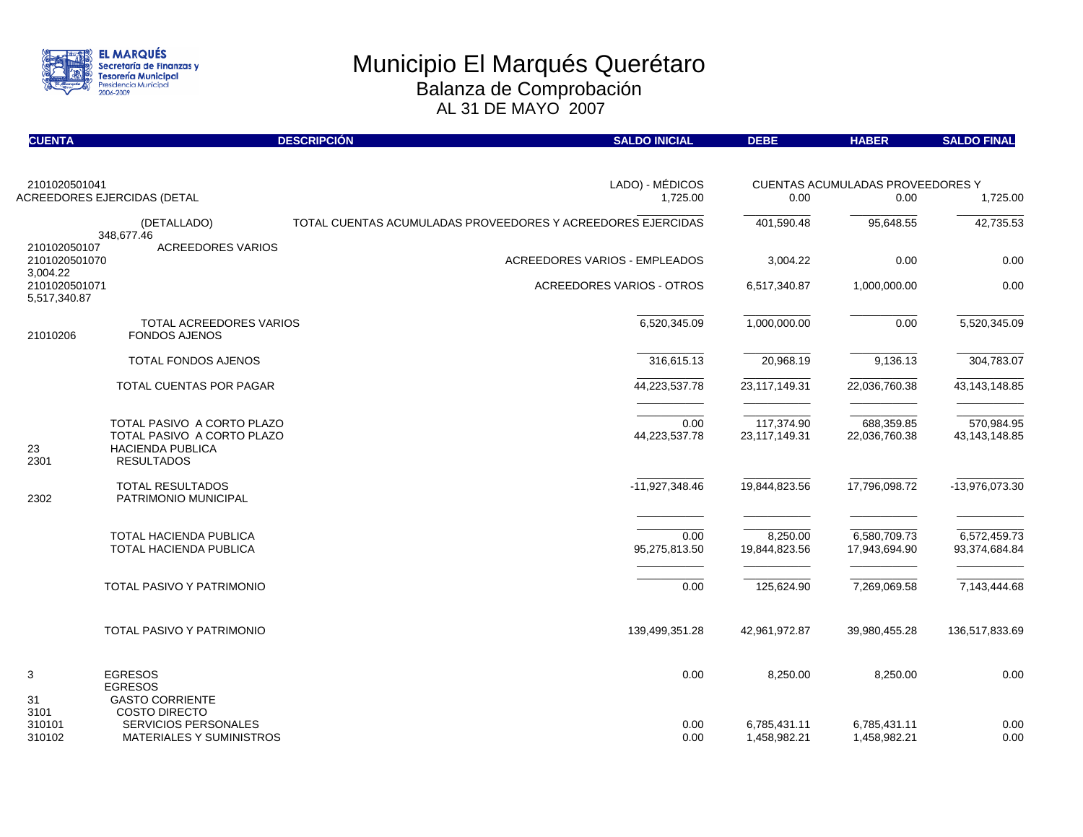

| <b>CUENTA</b>                                |                                                                                                           | <b>DESCRIPCIÓN</b><br><b>SALDO INICIAL</b>                  | <b>DEBE</b>                  | <b>HABER</b>                                    | <b>SALDO FINAL</b>            |
|----------------------------------------------|-----------------------------------------------------------------------------------------------------------|-------------------------------------------------------------|------------------------------|-------------------------------------------------|-------------------------------|
| 2101020501041<br>ACREEDORES EJERCIDAS (DETAL |                                                                                                           | LADO) - MÉDICOS<br>1,725.00                                 | 0.00                         | <b>CUENTAS ACUMULADAS PROVEEDORES Y</b><br>0.00 | 1,725.00                      |
|                                              |                                                                                                           |                                                             |                              |                                                 |                               |
|                                              | (DETALLADO)<br>348,677.46                                                                                 | TOTAL CUENTAS ACUMULADAS PROVEEDORES Y ACREEDORES EJERCIDAS | 401,590.48                   | 95,648.55                                       | 42,735.53                     |
| 210102050107<br>2101020501070<br>3,004.22    | <b>ACREEDORES VARIOS</b>                                                                                  | <b>ACREEDORES VARIOS - EMPLEADOS</b>                        | 3,004.22                     | 0.00                                            | 0.00                          |
| 2101020501071<br>5,517,340.87                |                                                                                                           | <b>ACREEDORES VARIOS - OTROS</b>                            | 6,517,340.87                 | 1,000,000.00                                    | 0.00                          |
| 21010206                                     | TOTAL ACREEDORES VARIOS<br><b>FONDOS AJENOS</b>                                                           | 6,520,345.09                                                | 1,000,000.00                 | 0.00                                            | 5,520,345.09                  |
|                                              | <b>TOTAL FONDOS AJENOS</b>                                                                                | 316,615.13                                                  | 20,968.19                    | 9,136.13                                        | 304,783.07                    |
|                                              | TOTAL CUENTAS POR PAGAR                                                                                   | 44,223,537.78                                               | 23,117,149.31                | 22,036,760.38                                   | 43, 143, 148.85               |
| 23<br>2301                                   | TOTAL PASIVO A CORTO PLAZO<br>TOTAL PASIVO A CORTO PLAZO<br><b>HACIENDA PUBLICA</b><br><b>RESULTADOS</b>  | 0.00<br>44,223,537.78                                       | 117,374.90<br>23,117,149.31  | 688,359.85<br>22,036,760.38                     | 570,984.95<br>43, 143, 148.85 |
| 2302                                         | <b>TOTAL RESULTADOS</b><br>PATRIMONIO MUNICIPAL                                                           | -11,927,348.46                                              | 19,844,823.56                | 17,796,098.72                                   | -13,976,073.30                |
|                                              | TOTAL HACIENDA PUBLICA<br>TOTAL HACIENDA PUBLICA                                                          | 0.00<br>95,275,813.50                                       | 8,250.00<br>19,844,823.56    | 6,580,709.73<br>17,943,694.90                   | 6,572,459.73<br>93,374,684.84 |
|                                              | TOTAL PASIVO Y PATRIMONIO                                                                                 | 0.00                                                        | 125,624.90                   | 7,269,069.58                                    | 7,143,444.68                  |
|                                              | TOTAL PASIVO Y PATRIMONIO                                                                                 | 139,499,351.28                                              | 42,961,972.87                | 39,980,455.28                                   | 136,517,833.69                |
| 3                                            | <b>EGRESOS</b><br><b>EGRESOS</b>                                                                          | 0.00                                                        | 8,250.00                     | 8,250.00                                        | 0.00                          |
| 31<br>3101<br>310101<br>310102               | <b>GASTO CORRIENTE</b><br><b>COSTO DIRECTO</b><br><b>SERVICIOS PERSONALES</b><br>MATERIALES Y SUMINISTROS | 0.00<br>0.00                                                | 6,785,431.11<br>1,458,982.21 | 6,785,431.11<br>1,458,982.21                    | 0.00<br>0.00                  |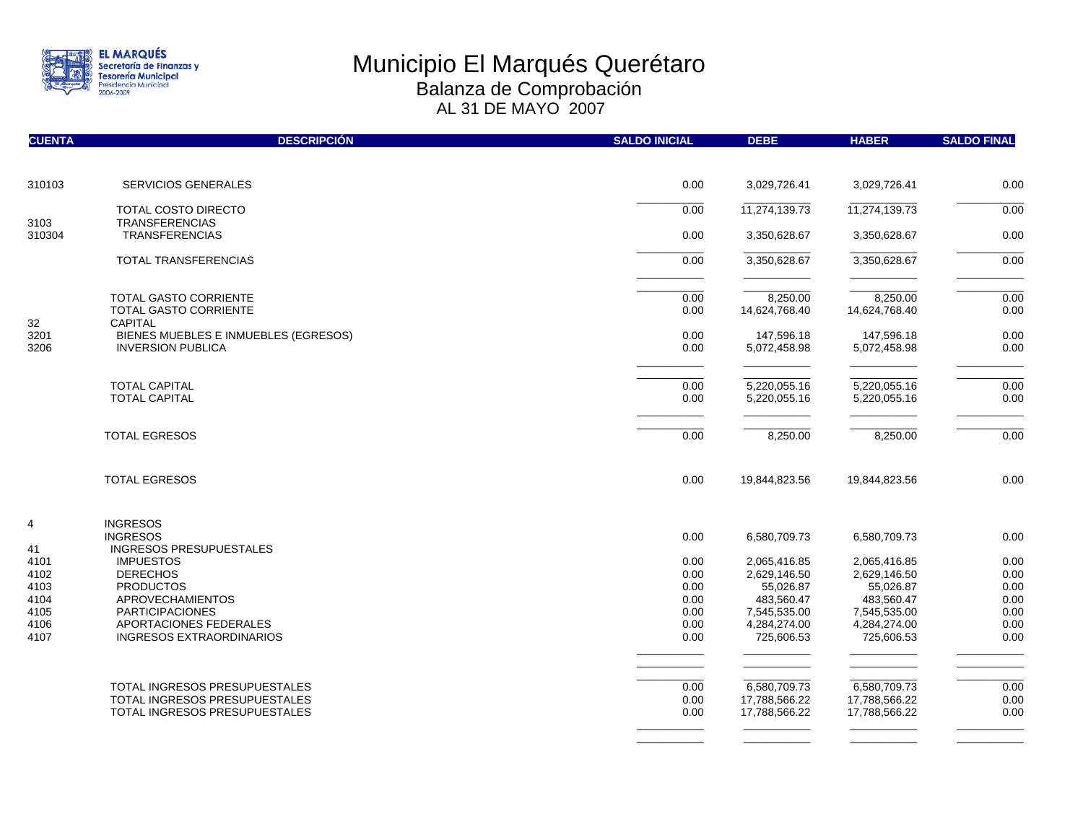

| <b>CUENTA</b> | <b>DESCRIPCIÓN</b>                                     | <b>SALDO INICIAL</b> | <b>DEBE</b>                  | <b>HABER</b>                 | <b>SALDO FINAL</b> |
|---------------|--------------------------------------------------------|----------------------|------------------------------|------------------------------|--------------------|
| 310103        | <b>SERVICIOS GENERALES</b>                             | 0.00                 | 3,029,726.41                 | 3,029,726.41                 | 0.00               |
|               |                                                        |                      |                              |                              |                    |
| 3103          | <b>TOTAL COSTO DIRECTO</b><br><b>TRANSFERENCIAS</b>    | 0.00                 | 11,274,139.73                | 11,274,139.73                | 0.00               |
| 310304        | <b>TRANSFERENCIAS</b>                                  | 0.00                 | 3,350,628.67                 | 3,350,628.67                 | 0.00               |
|               | TOTAL TRANSFERENCIAS                                   | 0.00                 | 3,350,628.67                 | 3,350,628.67                 | 0.00               |
|               | <b>TOTAL GASTO CORRIENTE</b>                           | 0.00                 | 8,250.00                     | 8,250.00                     | 0.00               |
|               | <b>TOTAL GASTO CORRIENTE</b>                           | 0.00                 | 14,624,768.40                | 14,624,768.40                | 0.00               |
| 32<br>3201    | <b>CAPITAL</b><br>BIENES MUEBLES E INMUEBLES (EGRESOS) | 0.00                 | 147,596.18                   | 147,596.18                   | 0.00               |
| 3206          | <b>INVERSION PUBLICA</b>                               | 0.00                 | 5,072,458.98                 | 5,072,458.98                 | 0.00               |
|               | <b>TOTAL CAPITAL</b>                                   | 0.00                 | 5,220,055.16                 | 5,220,055.16                 | 0.00               |
|               | <b>TOTAL CAPITAL</b>                                   | 0.00                 | 5,220,055.16                 | 5,220,055.16                 | 0.00               |
|               | <b>TOTAL EGRESOS</b>                                   | 0.00                 | 8,250.00                     | 8,250.00                     | 0.00               |
|               |                                                        |                      |                              |                              |                    |
|               | <b>TOTAL EGRESOS</b>                                   | 0.00                 | 19,844,823.56                | 19,844,823.56                | 0.00               |
| 4             | <b>INGRESOS</b>                                        |                      |                              |                              |                    |
| 41            | <b>INGRESOS</b><br><b>INGRESOS PRESUPUESTALES</b>      | 0.00                 | 6,580,709.73                 | 6,580,709.73                 | 0.00               |
| 4101          | <b>IMPUESTOS</b>                                       | 0.00                 | 2,065,416.85                 | 2,065,416.85                 | 0.00               |
| 4102          | <b>DERECHOS</b>                                        | 0.00                 | 2,629,146.50                 | 2,629,146.50                 | 0.00               |
| 4103          | <b>PRODUCTOS</b>                                       | 0.00                 | 55,026.87                    | 55,026.87                    | 0.00               |
| 4104          | <b>APROVECHAMIENTOS</b>                                | 0.00                 | 483,560.47                   | 483,560.47                   | 0.00               |
| 4105<br>4106  | <b>PARTICIPACIONES</b><br>APORTACIONES FEDERALES       | 0.00<br>0.00         | 7,545,535.00<br>4,284,274.00 | 7,545,535.00<br>4,284,274.00 | 0.00<br>0.00       |
| 4107          | INGRESOS EXTRAORDINARIOS                               | 0.00                 | 725,606.53                   | 725,606.53                   | 0.00               |
|               |                                                        |                      |                              |                              |                    |
|               |                                                        |                      |                              |                              |                    |
|               | TOTAL INGRESOS PRESUPUESTALES                          | 0.00                 | 6,580,709.73                 | 6,580,709.73                 | 0.00               |
|               | TOTAL INGRESOS PRESUPUESTALES                          | 0.00                 | 17,788,566.22                | 17,788,566.22                | 0.00               |
|               | TOTAL INGRESOS PRESUPUESTALES                          | 0.00                 | 17,788,566.22                | 17,788,566.22                | 0.00               |
|               |                                                        |                      |                              |                              |                    |

\_\_\_\_\_\_\_\_\_\_\_ \_\_\_\_\_\_\_\_\_\_\_ \_\_\_\_\_\_\_\_\_\_\_ \_\_\_\_\_\_\_\_\_\_\_